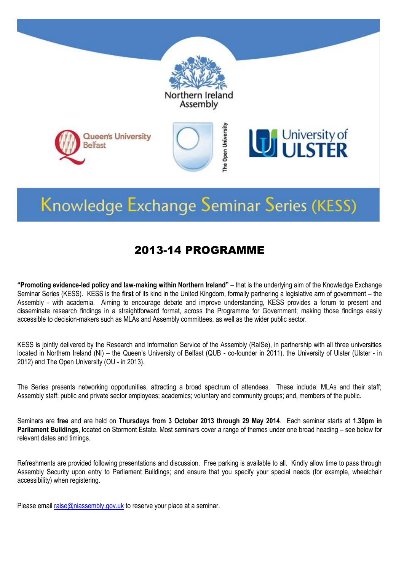

# Knowledge Exchange Seminar Series (KESS)

## 2013-14 PROGRAMME

**"Promoting evidence-led policy and law-making within Northern Ireland"** – that is the underlying aim of the Knowledge Exchange Seminar Series (KESS). KESS is the **first** of its kind in the United Kingdom, formally partnering a legislative arm of government – the Assembly - with academia. Aiming to encourage debate and improve understanding, KESS provides a forum to present and disseminate research findings in a straightforward format, across the Programme for Government; making those findings easily accessible to decision-makers such as MLAs and Assembly committees, as well as the wider public sector.

KESS is jointly delivered by the Research and Information Service of the Assembly (RaISe), in partnership with all three universities located in Northern Ireland (NI) – the Queen's University of Belfast (QUB - co-founder in 2011), the University of Ulster (Ulster - in 2012) and The Open University (OU - in 2013).

The Series presents networking opportunities, attracting a broad spectrum of attendees. These include: MLAs and their staff; Assembly staff; public and private sector employees; academics; voluntary and community groups; and, members of the public.

Seminars are **free** and are held on **Thursdays from 3 October 2013 through 29 May 2014**. Each seminar starts at **1.30pm in Parliament Buildings**, located on Stormont Estate. Most seminars cover a range of themes under one broad heading – see below for relevant dates and timings.

Refreshments are provided following presentations and discussion. Free parking is available to all. Kindly allow time to pass through Assembly Security upon entry to Parliament Buildings; and ensure that you specify your special needs (for example, wheelchair accessibility) when registering.

Please email  $raise@n<sub>max</sub> = @niassembly.gov.uk$  to reserve your place at a seminar.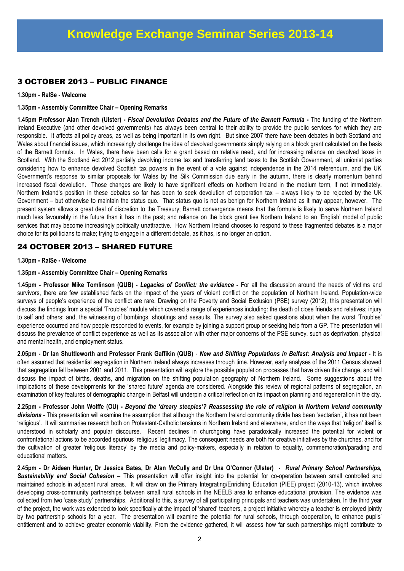## 3 OCTOBER 2013 – PUBLIC FINANCE

**1.30pm - RaISe - Welcome**

**1.35pm - Assembly Committee Chair – Opening Remarks**

**1.45pm Professor Alan Trench (Ulster) -** *Fiscal Devolution Debates and the Future of the Barnett Formula* **-** The funding of the Northern Ireland Executive (and other devolved governments) has always been central to their ability to provide the public services for which they are responsible. It affects all policy areas, as well as being important in its own right. But since 2007 there have been debates in both Scotland and Wales about financial issues, which increasingly challenge the idea of devolved governments simply relying on a block grant calculated on the basis of the Barnett formula. In Wales, there have been calls for a grant based on relative need, and for increasing reliance on devolved taxes in Scotland. With the Scotland Act 2012 partially devolving income tax and transferring land taxes to the Scottish Government, all unionist parties considering how to enhance devolved Scottish tax powers in the event of a vote against independence in the 2014 referendum, and the UK Government's response to similar proposals for Wales by the Silk Commission due early in the autumn, there is clearly momentum behind increased fiscal devolution. Those changes are likely to have significant effects on Northern Ireland in the medium term, if not immediately. Northern Ireland's position in these debates so far has been to seek devolution of corporation tax – always likely to be rejected by the UK Government – but otherwise to maintain the status quo. That status quo is not as benign for Northern Ireland as it may appear, however. The present system allows a great deal of discretion to the Treasury; Barnett convergence means that the formula is likely to serve Northern Ireland much less favourably in the future than it has in the past; and reliance on the block grant ties Northern Ireland to an 'English' model of public services that may become increasingly politically unattractive. How Northern Ireland chooses to respond to these fragmented debates is a major choice for its politicians to make; trying to engage in a different debate, as it has, is no longer an option.

## 24 OCTOBER 2013 – SHARED FUTURE

#### **1.30pm - RaISe - Welcome**

## **1.35pm - Assembly Committee Chair – Opening Remarks**

**1.45pm - Professor Mike Tomlinson (QUB) -** *Legacies of Conflict: the evidence* **-** For all the discussion around the needs of victims and survivors, there are few established facts on the impact of the years of violent conflict on the population of Northern Ireland. Population-wide surveys of people's experience of the conflict are rare. Drawing on the Poverty and Social Exclusion (PSE) survey (2012), this presentation will discuss the findings from a special 'Troubles' module which covered a range of experiences including: the death of close friends and relatives; injury to self and others; and, the witnessing of bombings, shootings and assaults. The survey also asked questions about when the worst 'Troubles' experience occurred and how people responded to events, for example by joining a support group or seeking help from a GP. The presentation will discuss the prevalence of conflict experience as well as its association with other major concerns of the PSE survey, such as deprivation, physical and mental health, and employment status.

**2.05pm - Dr Ian Shuttleworth and Professor Frank Gaffikin (QUB)** - *New and Shifting Populations in Belfast: Analysis and Impact* **-** It is often assumed that residential segregation in Northern Ireland always increases through time. However, early analyses of the 2011 Census showed that segregation fell between 2001 and 2011. This presentation will explore the possible population processes that have driven this change, and will discuss the impact of births, deaths, and migration on the shifting population geography of Northern Ireland. Some suggestions about the implications of these developments for the 'shared future' agenda are considered. Alongside this review of regional patterns of segregation, an examination of key features of demographic change in Belfast will underpin a critical reflection on its impact on planning and regeneration in the city.

**2.25pm - Professor John Wolffe (OU) -** *Beyond the 'dreary steeples'? Reassessing the role of religion in Northern Ireland community divisions* - This presentation will examine the assumption that although the Northern Ireland community divide has been 'sectarian', it has not been 'religious'. It will summarise research both on Protestant-Catholic tensions in Northern Ireland and elsewhere, and on the ways that 'religion' itself is understood in scholarly and popular discourse. Recent declines in churchgoing have paradoxically increased the potential for violent or confrontational actions to be accorded spurious 'religious' legitimacy. The consequent needs are both for creative initiatives by the churches, and for the cultivation of greater 'religious literacy' by the media and policy-makers, especially in relation to equality, commemoration/parading and educational matters.

**2.45pm - Dr Aideen Hunter, Dr Jessica Bates, Dr Alan McCully and Dr Una O'Connor (Ulster) -** *Rural Primary School Partnerships, Sustainability and Social Cohesion* – This presentation will offer insight into the potential for co-operation between small controlled and maintained schools in adjacent rural areas. It will draw on the Primary Integrating/Enriching Education (PIEE) project (2010-13), which involves developing cross-community partnerships between small rural schools in the NEELB area to enhance educational provision. The evidence was collected from two 'case study' partnerships. Additional to this, a survey of all participating principals and teachers was undertaken. In the third year of the project, the work was extended to look specifically at the impact of 'shared' teachers, a project initiative whereby a teacher is employed jointly by two partnership schools for a year. The presentation will examine the potential for rural schools, through cooperation, to enhance pupils' entitlement and to achieve greater economic viability. From the evidence gathered, it will assess how far such partnerships might contribute to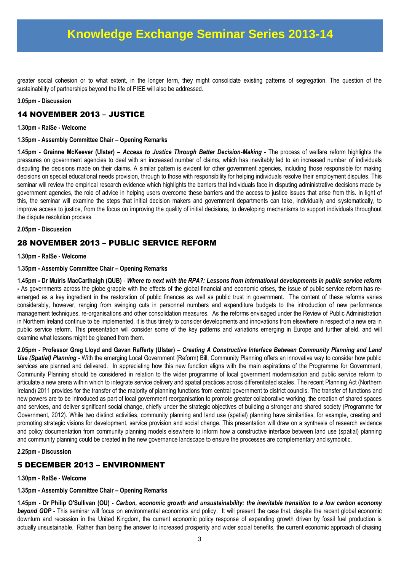## **Knowledge Exchange Seminar Series 2013-14**

greater social cohesion or to what extent, in the longer term, they might consolidate existing patterns of segregation. The question of the sustainability of partnerships beyond the life of PIEE will also be addressed.

#### **3.05pm - Discussion**

## 14 NOVEMBER 2013 – JUSTICE

#### **1.30pm - RaISe - Welcome**

**1.35pm - Assembly Committee Chair – Opening Remarks**

**1.45pm - Grainne McKeever (Ulster) –** *Access to Justice Through Better Decision-Making* **-** The process of welfare reform highlights the pressures on government agencies to deal with an increased number of claims, which has inevitably led to an increased number of individuals disputing the decisions made on their claims. A similar pattern is evident for other government agencies, including those responsible for making decisions on special educational needs provision, through to those with responsibility for helping individuals resolve their employment disputes. This seminar will review the empirical research evidence which highlights the barriers that individuals face in disputing administrative decisions made by government agencies, the role of advice in helping users overcome these barriers and the access to justice issues that arise from this. In light of this, the seminar will examine the steps that initial decision makers and government departments can take, individually and systematically, to improve access to justice, from the focus on improving the quality of initial decisions, to developing mechanisms to support individuals throughout the dispute resolution process.

#### **2.05pm - Discussion**

## 28 NOVEMBER 2013 – PUBLIC SERVICE REFORM

#### **1.30pm - RaISe - Welcome**

#### **1.35pm - Assembly Committee Chair – Opening Remarks**

**1.45pm - Dr Muiris MacCarthaigh (QUB)** - *Where to next with the RPA?: Lessons from international developments in public service reform -* As governments across the globe grapple with the effects of the global financial and economic crises, the issue of public service reform has reemerged as a key ingredient in the restoration of public finances as well as public trust in government. The content of these reforms varies considerably, however, ranging from swinging cuts in personnel numbers and expenditure budgets to the introduction of new performance management techniques, re-organisations and other consolidation measures. As the reforms envisaged under the Review of Public Administration in Northern Ireland continue to be implemented, it is thus timely to consider developments and innovations from elsewhere in respect of a new era in public service reform. This presentation will consider some of the key patterns and variations emerging in Europe and further afield, and will examine what lessons might be gleaned from them.

**2.05pm - Professor Greg Lloyd and Gavan Rafferty (Ulster) –** *Creating A Constructive Interface Between Community Planning and Land Use (Spatial) Planning* **-** With the emerging Local Government (Reform) Bill, Community Planning offers an innovative way to consider how public services are planned and delivered. In appreciating how this new function aligns with the main aspirations of the Programme for Government, Community Planning should be considered in relation to the wider programme of local government modernisation and public service reform to articulate a new arena within which to integrate service delivery and spatial practices across differentiated scales. The recent Planning Act (Northern Ireland) 2011 provides for the transfer of the majority of planning functions from central government to district councils. The transfer of functions and new powers are to be introduced as part of local government reorganisation to promote greater collaborative working, the creation of shared spaces and services, and deliver significant social change, chiefly under the strategic objectives of building a stronger and shared society (Programme for Government, 2012). While two distinct activities, community planning and land use (spatial) planning have similarities, for example, creating and promoting strategic visions for development, service provision and social change. This presentation will draw on a synthesis of research evidence and policy documentation from community planning models elsewhere to inform how a constructive interface between land use (spatial) planning and community planning could be created in the new governance landscape to ensure the processes are complementary and symbiotic.

#### **2.25pm - Discussion**

## 5 DECEMBER 2013 – ENVIRONMENT

#### **1.30pm - RaISe - Welcome**

#### **1.35pm - Assembly Committee Chair – Opening Remarks**

**1.45pm - Dr Philip O'Sullivan (OU) -** *Carbon, economic growth and unsustainability: the inevitable transition to a low carbon economy*  **beyond GDP** - This seminar will focus on environmental economics and policy. It will present the case that, despite the recent global economic downturn and recession in the United Kingdom, the current economic policy response of expanding growth driven by fossil fuel production is actually unsustainable. Rather than being the answer to increased prosperity and wider social benefits, the current economic approach of chasing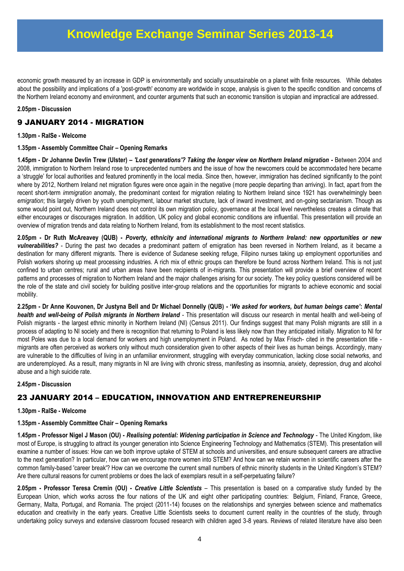economic growth measured by an increase in GDP is environmentally and socially unsustainable on a planet with finite resources. While debates about the possibility and implications of a 'post-growth' economy are worldwide in scope, analysis is given to the specific condition and concerns of the Northern Ireland economy and environment, and counter arguments that such an economic transition is utopian and impractical are addressed.

## **2.05pm - Discussion**

## 9 JANUARY 2014 - MIGRATION

## **1.30pm - RaISe - Welcome**

## **1.35pm - Assembly Committee Chair – Opening Remarks**

**1.45pm - Dr Johanne Devlin Trew (Ulster) –** *'Lost generations'? Taking the longer view on Northern Ireland migration -* Between 2004 and 2008, immigration to Northern Ireland rose to unprecedented numbers and the issue of how the newcomers could be accommodated here became a 'struggle' for local authorities and featured prominently in the local media. Since then, however, immigration has declined significantly to the point where by 2012, Northern Ireland net migration figures were once again in the negative (more people departing than arriving). In fact, apart from the recent short-term *immigration* anomaly, the predominant context for migration relating to Northern Ireland since 1921 has overwhelmingly been *emigration*; this largely driven by youth unemployment, labour market structure, lack of inward investment, and on-going sectarianism. Though as some would point out, Northern Ireland does not control its own migration policy, governance at the local level nevertheless creates a climate that either encourages or discourages migration. In addition, UK policy and global economic conditions are influential. This presentation will provide an overview of migration trends and data relating to Northern Ireland, from its establishment to the most recent statistics.

**2.05pm - Dr Ruth McAreavey (QUB) -** *Poverty, ethnicity and international migrants to Northern Ireland: new opportunities or new vulnerabilities?* - During the past two decades a predominant pattern of emigration has been reversed in Northern Ireland, as it became a destination for many different migrants. There is evidence of Sudanese seeking refuge, Filipino nurses taking up employment opportunities and Polish workers shoring up meat processing industries. A rich mix of ethnic groups can therefore be found across Northern Ireland. This is not just confined to urban centres; rural and urban areas have been recipients of in-migrants. This presentation will provide a brief overview of recent patterns and processes of migration to Northern Ireland and the major challenges arising for our society. The key policy questions considered will be the role of the state and civil society for building positive inter-group relations and the opportunities for migrants to achieve economic and social mobility.

**2.25pm - Dr Anne Kouvonen, Dr Justyna Bell and Dr Michael Donnelly (QUB) - '***We asked for workers, but human beings came'***:** *Mental health and well-being of Polish migrants in Northern Ireland* - This presentation will discuss our research in mental health and well-being of Polish migrants - the largest ethnic minority in Northern Ireland (NI) (Census 2011). Our findings suggest that many Polish migrants are still in a process of adapting to NI society and there is recognition that returning to Poland is less likely now than they anticipated initially. Migration to NI for most Poles was due to a local demand for workers and high unemployment in Poland. As noted by Max Frisch- cited in the presentation title migrants are often perceived as workers only without much consideration given to other aspects of their lives as human beings. Accordingly, many are vulnerable to the difficulties of living in an unfamiliar environment, struggling with everyday communication, lacking close social networks, and are underemployed. As a result, many migrants in NI are living with chronic stress, manifesting as insomnia, anxiety, depression, drug and alcohol abuse and a high suicide rate.

#### **2.45pm - Discussion**

## 23 JANUARY 2014 – EDUCATION, INNOVATION AND ENTREPRENEURSHIP

### **1.30pm - RaISe - Welcome**

### **1.35pm - Assembly Committee Chair – Opening Remarks**

**1.45pm - Professor Nigel J Mason (OU) -** *Realising potential: Widening participation in Science and Technology* - The United Kingdom, like most of Europe, is struggling to attract its younger generation into Science Engineering Technology and Mathematics (STEM). This presentation will examine a number of issues: How can we both improve uptake of STEM at schools and universities, and ensure subsequent careers are attractive to the next generation? In particular, how can we encourage more women into STEM? And how can we retain women in scientific careers after the common family-based 'career break'? How can we overcome the current small numbers of ethnic minority students in the United Kingdom's STEM? Are there cultural reasons for current problems or does the lack of exemplars result in a self-perpetuating failure?

**2.05pm - Professor Teresa Cremin (OU) -** *Creative Little Scientists* – This presentation is based on a comparative study funded by the European Union, which works across the four nations of the UK and eight other participating countries: Belgium, Finland, France, Greece, Germany, Malta, Portugal, and Romania. The project (2011-14) focuses on the relationships and synergies between science and mathematics education and creativity in the early years. Creative Little Scientists seeks to document current reality in the countries of the study, through undertaking policy surveys and extensive classroom focused research with children aged 3-8 years. Reviews of related literature have also been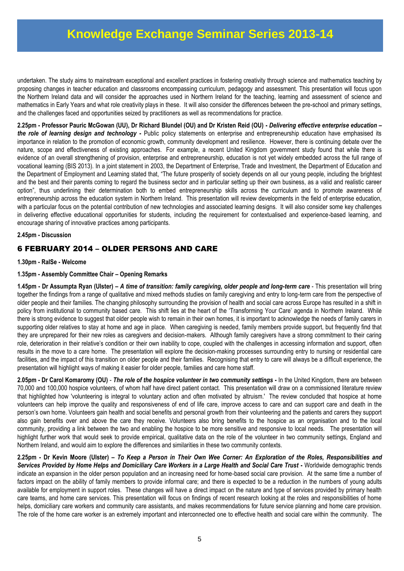undertaken. The study aims to mainstream exceptional and excellent practices in fostering creativity through science and mathematics teaching by proposing changes in teacher education and classrooms encompassing curriculum, pedagogy and assessment. This presentation will focus upon the Northern Ireland data and will consider the approaches used in Northern Ireland for the teaching, learning and assessment of science and mathematics in Early Years and what role creativity plays in these. It will also consider the differences between the pre-school and primary settings, and the challenges faced and opportunities seized by practitioners as well as recommendations for practice.

**2.25pm - Professor Pauric McGowan (UU), Dr Richard Blundel (OU) and Dr Kristen Reid (OU) -** *Delivering effective enterprise education – the role of learning design and technology* **-** Public policy statements on enterprise and entrepreneurship education have emphasised its importance in relation to the promotion of economic growth, community development and resilience. However, there is continuing debate over the nature, scope and effectiveness of existing approaches. For example, a recent United Kingdom government study found that while there is evidence of an overall strengthening of provision, enterprise and entrepreneurship, education is not yet widely embedded across the full range of vocational learning (BIS 2013). In a joint statement in 2003, the Department of Enterprise, Trade and Investment, the Department of Education and the Department of Employment and Learning stated that, "The future prosperity of society depends on all our young people, including the brightest and the best and their parents coming to regard the business sector and in particular setting up their own business, as a valid and realistic career option", thus underlining their determination both to embed entrepreneurship skills across the curriculum and to promote awareness of entrepreneurship across the education system in Northern Ireland. This presentation will review developments in the field of enterprise education, with a particular focus on the potential contribution of new technologies and associated learning designs. It will also consider some key challenges in delivering effective educational opportunities for students, including the requirement for contextualised and experience-based learning, and encourage sharing of innovative practices among participants.

## **2.45pm - Discussion**

## 6 FEBRUARY 2014 – OLDER PERSONS AND CARE

## **1.30pm - RaISe - Welcome**

## **1.35pm - Assembly Committee Chair – Opening Remarks**

**1.45pm - Dr Assumpta Ryan (Ulster) –** *A time of transition: family caregiving, older people and long-term care* - This presentation will bring together the findings from a range of qualitative and mixed methods studies on family caregiving and entry to long-term care from the perspective of older people and their families. The changing philosophy surrounding the provision of health and social care across Europe has resulted in a shift in policy from institutional to community based care. This shift lies at the heart of the 'Transforming Your Care' agenda in Northern Ireland. While there is strong evidence to suggest that older people wish to remain in their own homes, it is important to acknowledge the needs of family carers in supporting older relatives to stay at home and age in place. When caregiving is needed, family members provide support, but frequently find that they are unprepared for their new roles as caregivers and decision-makers. Although family caregivers have a strong commitment to their caring role, deterioration in their relative's condition or their own inability to cope, coupled with the challenges in accessing information and support, often results in the move to a care home. The presentation will explore the decision-making processes surrounding entry to nursing or residential care facilities, and the impact of this transition on older people and their families. Recognising that entry to care will always be a difficult experience, the presentation will highlight ways of making it easier for older people, families and care home staff.

**2.05pm - Dr Carol Komaromy (OU)** - *The role of the hospice volunteer in two community settings* **-** In the United Kingdom, there are between 70,000 and 100,000 hospice volunteers, of whom half have direct patient contact. This presentation will draw on a commissioned literature review that highlighted how 'volunteering is integral to voluntary action and often motivated by altruism.' The review concluded that hospice at home volunteers can help improve the quality and responsiveness of end of life care, improve access to care and can support care and death in the person's own home. Volunteers gain health and social benefits and personal growth from their volunteering and the patients and carers they support also gain benefits over and above the care they receive. Volunteers also bring benefits to the hospice as an organisation and to the local community, providing a link between the two and enabling the hospice to be more sensitive and responsive to local needs. The presentation will highlight further work that would seek to provide empirical, qualitative data on the role of the volunteer in two community settings, England and Northern Ireland, and would aim to explore the differences and similarities in these two community contexts.

**2.25pm - Dr Kevin Moore (Ulster) –** *To Keep a Person in Their Own Wee Corner: An Exploration of the Roles, Responsibilities and Services Provided by Home Helps and Domiciliary Care Workers in a Large Health and Social Care Trust* **-** Worldwide demographic trends indicate an expansion in the older person population and an increasing need for home-based social care provision. At the same time a number of factors impact on the ability of family members to provide informal care; and there is expected to be a reduction in the numbers of young adults available for employment in support roles. These changes will have a direct impact on the nature and type of services provided by primary health care teams, and home care services. This presentation will focus on findings of recent research looking at the roles and responsibilities of home helps, domiciliary care workers and community care assistants, and makes recommendations for future service planning and home care provision. The role of the home care worker is an extremely important and interconnected one to effective health and social care within the community. The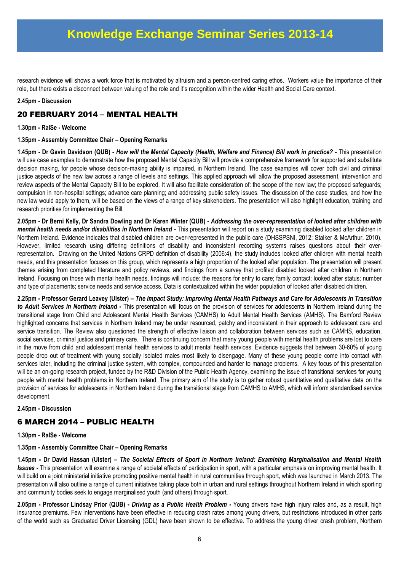research evidence will shows a work force that is motivated by altruism and a person-centred caring ethos. Workers value the importance of their role, but there exists a disconnect between valuing of the role and it's recognition within the wider Health and Social Care context.

## **2.45pm - Discussion**

## 20 FEBRUARY 2014 – MENTAL HEALTH

**1.30pm - RaISe - Welcome**

**1.35pm - Assembly Committee Chair – Opening Remarks**

**1.45pm - Dr Gavin Davidson (QUB) -** *How will the Mental Capacity (Health, Welfare and Finance) Bill work in practice? -* This presentation will use case examples to demonstrate how the proposed Mental Capacity Bill will provide a comprehensive framework for supported and substitute decision making, for people whose decision-making ability is impaired, in Northern Ireland. The case examples will cover both civil and criminal justice aspects of the new law across a range of levels and settings. This applied approach will allow the proposed assessment, intervention and review aspects of the Mental Capacity Bill to be explored. It will also facilitate consideration of: the scope of the new law; the proposed safeguards; compulsion in non-hospital settings; advance care planning; and addressing public safety issues. The discussion of the case studies, and how the new law would apply to them, will be based on the views of a range of key stakeholders. The presentation will also highlight education, training and research priorities for implementing the Bill.

**2.05pm - Dr Berni Kelly, Dr Sandra Dowling and Dr Karen Winter (QUB) -** *Addressing the over-representation of looked after children with mental health needs and/or disabilities in Northern Ireland -* This presentation will report on a study examining disabled looked after children in Northern Ireland. Evidence indicates that disabled children are over-represented in the public care (DHSSPSNI, 2012; Stalker & McArthur, 2010). However, limited research using differing definitions of disability and inconsistent recording systems raises questions about their overrepresentation. Drawing on the United Nations CRPD definition of disability (2006:4), the study includes looked after children with mental health needs, and this presentation focuses on this group, which represents a high proportion of the looked after population. The presentation will present themes arising from completed literature and policy reviews, and findings from a survey that profiled disabled looked after children in Northern Ireland. Focusing on those with mental health needs, findings will include: the reasons for entry to care; family contact; looked after status; number and type of placements; service needs and service access. Data is contextualized within the wider population of looked after disabled children.

**2.25pm - Professor Gerard Leavey (Ulster) –** *The Impact Study: Improving Mental Health Pathways and Care for Adolescents in Transition to Adult Services in Northern Ireland* **-** This presentation will focus on the provision of services for adolescents in Northern Ireland during the transitional stage from Child and Adolescent Mental Health Services (CAMHS) to Adult Mental Health Services (AMHS). The Bamford Review highlighted concerns that services in Northern Ireland may be under resourced, patchy and inconsistent in their approach to adolescent care and service transition. The Review also questioned the strength of effective liaison and collaboration between services such as CAMHS, education, social services, criminal justice and primary care.There is continuing concern that many young people with mental health problems are lost to care in the move from child and adolescent mental health services to adult mental health services. Evidence suggests that between 30-60% of young people drop out of treatment with young socially isolated males most likely to disengage. Many of these young people come into contact with services later, including the criminal justice system, with complex, compounded and harder to manage problems. A key focus of this presentation will be an on-going research project, funded by the R&D Division of the Public Health Agency, examining the issue of transitional services for young people with mental health problems in Northern Ireland. The primary aim of the study is to gather robust quantitative and qualitative data on the provision of services for adolescents in Northern Ireland during the transitional stage from CAMHS to AMHS, which will inform standardised service development.

## **2.45pm - Discussion**

## 6 MARCH 2014 – PUBLIC HEALTH

**1.30pm - RaISe - Welcome**

**1.35pm - Assembly Committee Chair – Opening Remarks**

**1.45pm - Dr David Hassan (Ulster) –** *The Societal Effects of Sport in Northern Ireland: Examining Marginalisation and Mental Health Issues -* This presentation will examine a range of societal effects of participation in sport, with a particular emphasis on improving mental health. It will build on a joint ministerial initiative promoting positive mental health in rural communities through sport, which was launched in March 2013. The presentation will also outline a range of current initiatives taking place both in urban and rural settings throughout Northern Ireland in which sporting and community bodies seek to engage marginalised youth (and others) through sport.

**2.05pm - Professor Lindsay Prior (QUB) -** *Driving as a Public Health Problem -* Young drivers have high injury rates and, as a result, high insurance premiums. Few interventions have been effective in reducing crash rates among young drivers, but restrictions introduced in other parts of the world such as Graduated Driver Licensing (GDL) have been shown to be effective. To address the young driver crash problem, Northern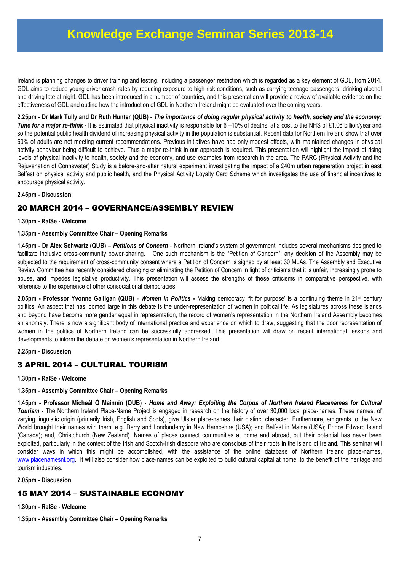Ireland is planning changes to driver training and testing, including a passenger restriction which is regarded as a key element of GDL, from 2014. GDL aims to reduce young driver crash rates by reducing exposure to high risk conditions, such as carrying teenage passengers, drinking alcohol and driving late at night. GDL has been introduced in a number of countries, and this presentation will provide a review of available evidence on the effectiveness of GDL and outline how the introduction of GDL in Northern Ireland might be evaluated over the coming years.

**2.25pm - Dr Mark Tully and Dr Ruth Hunter (QUB)** - *The importance of doing regular physical activity to health, society and the economy:*  **Time for a major re-think -** It is estimated that physical inactivity is responsible for 6 –10% of deaths, at a cost to the NHS of £1.06 billion/year and so the potential public health dividend of increasing physical activity in the population is substantial. Recent data for Northern Ireland show that over 60% of adults are not meeting current recommendations. Previous initiatives have had only modest effects, with maintained changes in physical activity behaviour being difficult to achieve. Thus a major re-think in our approach is required. This presentation will highlight the impact of rising levels of physical inactivity to health, society and the economy, and use examples from research in the area. The PARC (Physical Activity and the Rejuvenation of Connswater) Study is a before-and-after natural experiment investigating the impact of a £40m urban regeneration project in east Belfast on physical activity and public health, and the Physical Activity Loyalty Card Scheme which investigates the use of financial incentives to encourage physical activity.

## **2.45pm - Discussion**

## 20 MARCH 2014 – GOVERNANCE/ASSEMBLY REVIEW

#### **1.30pm - RaISe - Welcome**

## **1.35pm - Assembly Committee Chair – Opening Remarks**

**1.45pm - Dr Alex Schwartz (QUB) –** *Petitions of Concern* - Northern Ireland's system of government includes several mechanisms designed to facilitate inclusive cross-community power-sharing. One such mechanism is the "Petition of Concern"; any decision of the Assembly may be subjected to the requirement of cross-community consent where a Petition of Concern is signed by at least 30 MLAs. The Assembly and Executive Review Committee has recently considered changing or eliminating the Petition of Concern in light of criticisms that it is unfair, increasingly prone to abuse, and impedes legislative productivity. This presentation will assess the strengths of these criticisms in comparative perspective, with reference to the experience of other consociational democracies.

**2.05pm - Professor Yvonne Galligan (QUB)** - *Women in Politics* **-** Making democracy 'fit for purpose' is a continuing theme in 21st century politics. An aspect that has loomed large in this debate is the under-representation of women in political life. As legislatures across these islands and beyond have become more gender equal in representation, the record of women's representation in the Northern Ireland Assembly becomes an anomaly. There is now a significant body of international practice and experience on which to draw, suggesting that the poor representation of women in the politics of Northern Ireland can be successfully addressed. This presentation will draw on recent international lessons and developments to inform the debate on women's representation in Northern Ireland.

## **2.25pm - Discussion**

## 3 APRIL 2014 – CULTURAL TOURISM

#### **1.30pm - RaISe - Welcome**

## **1.35pm - Assembly Committee Chair – Opening Remarks**

**1.45pm - Professor Mícheál Ó Mainnín (QUB) -** *Home and Away: Exploiting the Corpus of Northern Ireland Placenames for Cultural Tourism* **-** The Northern Ireland Place-Name Project is engaged in research on the history of over 30,000 local place-names. These names, of varying linguistic origin (primarily Irish, English and Scots), give Ulster place-names their distinct character. Furthermore, emigrants to the New World brought their names with them: e.g. Derry and Londonderry in New Hampshire (USA); and Belfast in Maine (USA); Prince Edward Island (Canada); and, Christchurch (New Zealand). Names of places connect communities at home and abroad, but their potential has never been exploited, particularly in the context of the Irish and Scotch-Irish diaspora who are conscious of their roots in the island of Ireland. This seminar will consider ways in which this might be accomplished, with the assistance of the online database of Northern Ireland place-names, [www.placenamesni.org.](http://www.placenamesni.org/) It will also consider how place-names can be exploited to build cultural capital at home, to the benefit of the heritage and tourism industries.

#### **2.05pm - Discussion**

## 15 MAY 2014 – SUSTAINABLE ECONOMY

**1.30pm - RaISe - Welcome**

**1.35pm - Assembly Committee Chair – Opening Remarks**